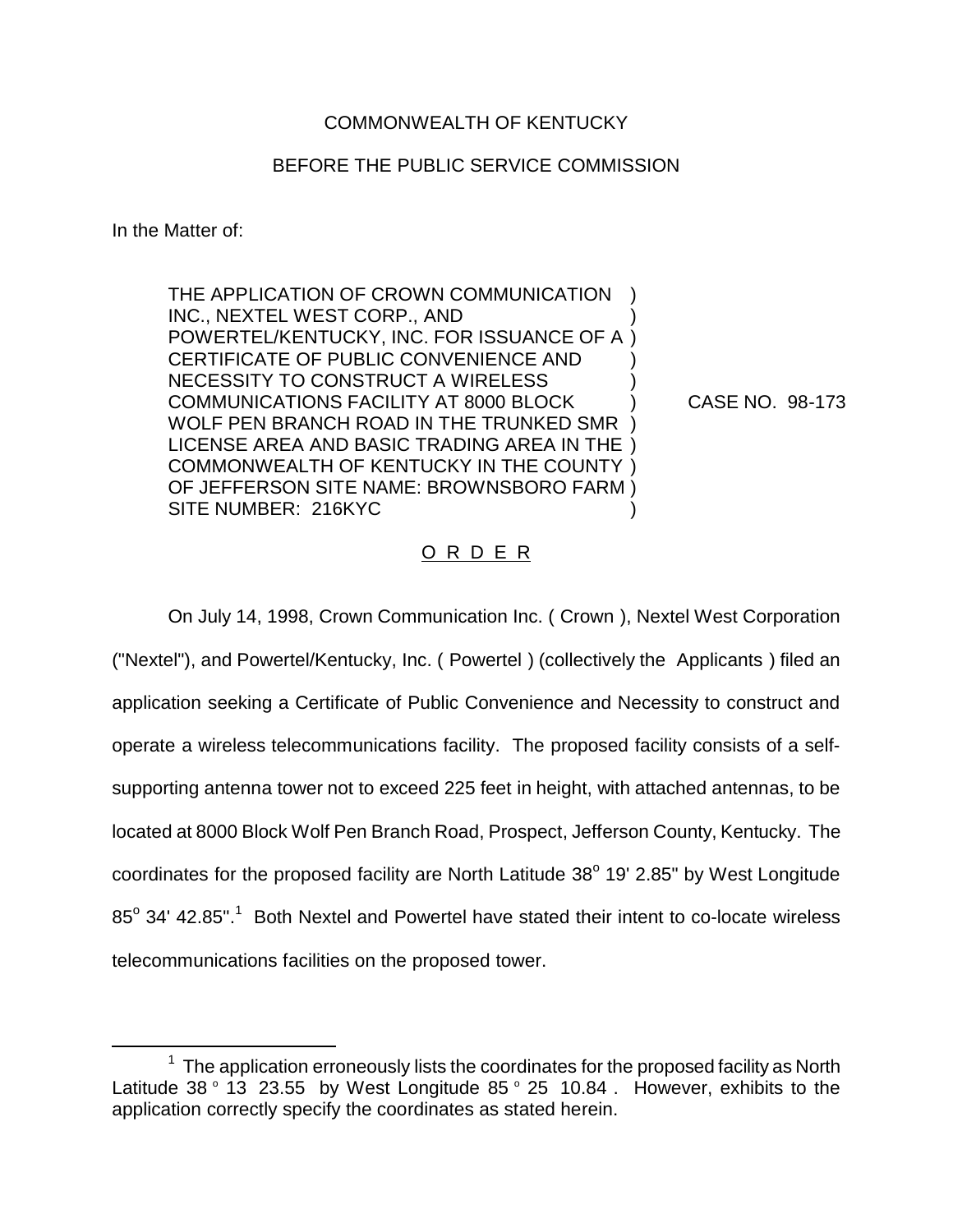## COMMONWEALTH OF KENTUCKY

## BEFORE THE PUBLIC SERVICE COMMISSION

In the Matter of:

THE APPLICATION OF CROWN COMMUNICATION INC., NEXTEL WEST CORP., AND POWERTEL/KENTUCKY, INC. FOR ISSUANCE OF A ) CERTIFICATE OF PUBLIC CONVENIENCE AND NECESSITY TO CONSTRUCT A WIRELESS COMMUNICATIONS FACILITY AT 8000 BLOCK WOLF PEN BRANCH ROAD IN THE TRUNKED SMR ) LICENSE AREA AND BASIC TRADING AREA IN THE ) COMMONWEALTH OF KENTUCKY IN THE COUNTY ) OF JEFFERSON SITE NAME: BROWNSBORO FARM ) SITE NUMBER: 216KYC ) ) ) ) ) )

CASE NO. 98-173

## O R D E R

On July 14, 1998, Crown Communication Inc. ( Crown ), Nextel West Corporation ("Nextel"), and Powertel/Kentucky, Inc. ( Powertel ) (collectively the Applicants ) filed an application seeking a Certificate of Public Convenience and Necessity to construct and operate a wireless telecommunications facility. The proposed facility consists of a selfsupporting antenna tower not to exceed 225 feet in height, with attached antennas, to be located at 8000 Block Wolf Pen Branch Road, Prospect, Jefferson County, Kentucky. The coordinates for the proposed facility are North Latitude  $38^\circ$  19' 2.85" by West Longitude 85° 34' 42.85".<sup>1</sup> Both Nextel and Powertel have stated their intent to co-locate wireless telecommunications facilities on the proposed tower.

 $1$  The application erroneously lists the coordinates for the proposed facility as North Latitude 38 $\degree$  13 23.55 by West Longitude 85 $\degree$  25 10.84. However, exhibits to the application correctly specify the coordinates as stated herein.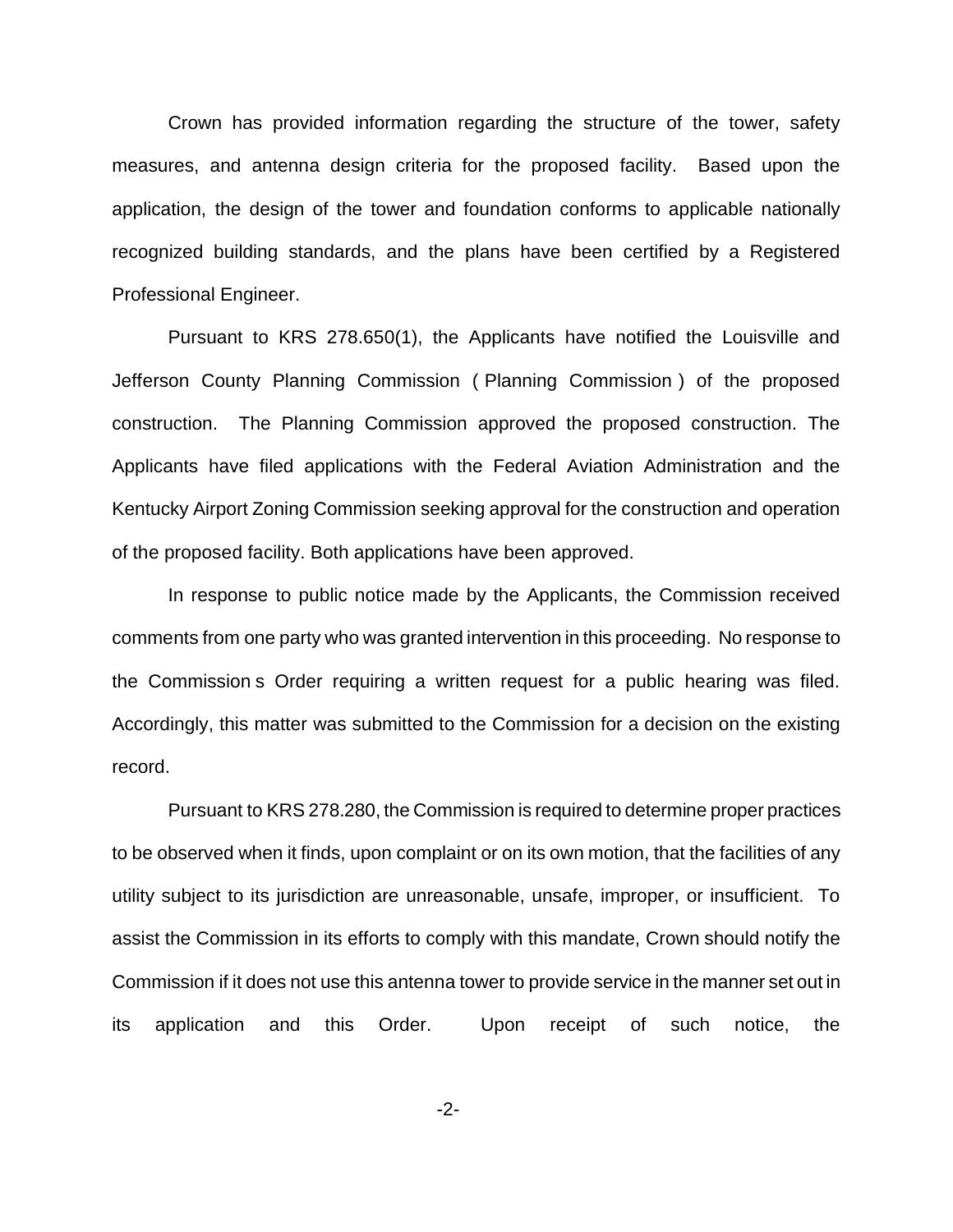Crown has provided information regarding the structure of the tower, safety measures, and antenna design criteria for the proposed facility. Based upon the application, the design of the tower and foundation conforms to applicable nationally recognized building standards, and the plans have been certified by a Registered Professional Engineer.

Pursuant to KRS 278.650(1), the Applicants have notified the Louisville and Jefferson County Planning Commission ( Planning Commission ) of the proposed construction. The Planning Commission approved the proposed construction. The Applicants have filed applications with the Federal Aviation Administration and the Kentucky Airport Zoning Commission seeking approval for the construction and operation of the proposed facility. Both applications have been approved.

In response to public notice made by the Applicants, the Commission received comments from one party who was granted intervention in this proceeding. No response to the Commission s Order requiring a written request for a public hearing was filed. Accordingly, this matter was submitted to the Commission for a decision on the existing record.

Pursuant to KRS 278.280, the Commission is required to determine proper practices to be observed when it finds, upon complaint or on its own motion, that the facilities of any utility subject to its jurisdiction are unreasonable, unsafe, improper, or insufficient. To assist the Commission in its efforts to comply with this mandate, Crown should notify the Commission if it does not use this antenna tower to provide service in the manner set out in its application and this Order. Upon receipt of such notice, the

-2-